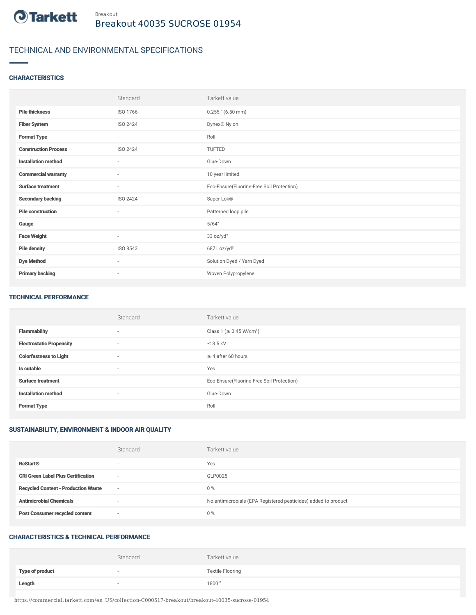

# TECHNICAL AND ENVIRONMENTAL SPECIFICATIONS

## **CHARACTERISTICS**

|                             | Standard                 | Tarkett value                             |
|-----------------------------|--------------------------|-------------------------------------------|
| <b>Pile thickness</b>       | ISO 1766                 | $0.255$ " (6.50 mm)                       |
| <b>Fiber System</b>         | <b>ISO 2424</b>          | Dynex® Nylon                              |
| <b>Format Type</b>          | $\sim$                   | Roll                                      |
| <b>Construction Process</b> | <b>ISO 2424</b>          | TUFTED                                    |
| <b>Installation method</b>  | $\sim$                   | Glue-Down                                 |
| <b>Commercial warranty</b>  | $\overline{\phantom{a}}$ | 10 year limited                           |
| <b>Surface treatment</b>    | ٠                        | Eco-Ensure(Fluorine-Free Soil Protection) |
| <b>Secondary backing</b>    | ISO 2424                 | Super-Lok®                                |
| <b>Pile construction</b>    | $\sim$                   | Patterned loop pile                       |
| Gauge                       | ٠                        | 5/64"                                     |
| <b>Face Weight</b>          | ٠                        | 33 oz/yd <sup>2</sup>                     |
| <b>Pile density</b>         | ISO 8543                 | 6871 oz/yd <sup>3</sup>                   |
| <b>Dye Method</b>           | $\overline{\phantom{a}}$ | Solution Dyed / Yarn Dyed                 |
| <b>Primary backing</b>      | $\overline{\phantom{a}}$ | Woven Polypropylene                       |

#### TECHNICAL PERFORMANCE

|                                 | Standard                 | Tarkett value                             |
|---------------------------------|--------------------------|-------------------------------------------|
| <b>Flammability</b>             | $\sim$                   | Class 1 (≥ 0.45 W/cm <sup>2</sup> )       |
| <b>Electrostatic Propensity</b> | $\overline{\phantom{a}}$ | $\leq$ 3.5 kV                             |
| <b>Colorfastness to Light</b>   | $\sim$                   | $\geq$ 4 after 60 hours                   |
| Is cutable                      | $\overline{\phantom{a}}$ | Yes                                       |
| <b>Surface treatment</b>        | $\sim$                   | Eco-Ensure(Fluorine-Free Soil Protection) |
| <b>Installation method</b>      | $\sim$                   | Glue-Down                                 |
| <b>Format Type</b>              | $\overline{\phantom{a}}$ | Roll                                      |

## SUSTAINABILITY, ENVIRONMENT & INDOOR AIR QUALITY

|                                            | Standard                 | Tarkett value                                                  |
|--------------------------------------------|--------------------------|----------------------------------------------------------------|
| <b>ReStart®</b>                            | $\overline{\phantom{a}}$ | Yes                                                            |
| <b>CRI Green Label Plus Certification</b>  | $\overline{\phantom{a}}$ | GLP0025                                                        |
| <b>Recycled Content - Production Waste</b> | $\sim$                   | $0\%$                                                          |
| <b>Antimicrobial Chemicals</b>             | $\overline{\phantom{a}}$ | No antimicrobials (EPA Registered pesticides) added to product |
| <b>Post Consumer recycled content</b>      | $\overline{\phantom{a}}$ | $0\%$                                                          |

#### CHARACTERISTICS & TECHNICAL PERFORMANCE

|                        | Standard | Tarkett value           |
|------------------------|----------|-------------------------|
| <b>Type of product</b> |          | <b>Textile Flooring</b> |
| Length                 |          | 1800"                   |

https://commercial.tarkett.com/en\_US/collection-C000517-breakout/breakout-40035-sucrose-01954